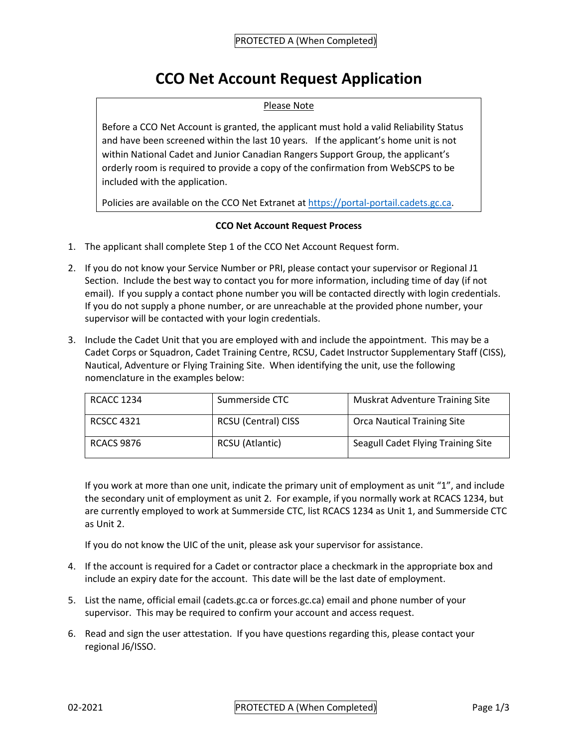## **CCO Net Account Request Application**

## Please Note

Before a CCO Net Account is granted, the applicant must hold a valid Reliability Status and have been screened within the last 10 years. If the applicant's home unit is not within National Cadet and Junior Canadian Rangers Support Group, the applicant's orderly room is required to provide a copy of the confirmation from WebSCPS to be included with the application.

Policies are available on the CCO Net Extranet a[t https://portal-portail.cadets.gc.ca.](https://portal-portail.cadets.gc.ca/)

## **CCO Net Account Request Process**

- 1. The applicant shall complete Step 1 of the CCO Net Account Request form.
- 2. If you do not know your Service Number or PRI, please contact your supervisor or Regional J1 Section. Include the best way to contact you for more information, including time of day (if not email). If you supply a contact phone number you will be contacted directly with login credentials. If you do not supply a phone number, or are unreachable at the provided phone number, your supervisor will be contacted with your login credentials.
- 3. Include the Cadet Unit that you are employed with and include the appointment. This may be a Cadet Corps or Squadron, Cadet Training Centre, RCSU, Cadet Instructor Supplementary Staff (CISS), Nautical, Adventure or Flying Training Site. When identifying the unit, use the following nomenclature in the examples below:

| <b>RCACC 1234</b> | Summerside CTC             | <b>Muskrat Adventure Training Site</b> |  |  |
|-------------------|----------------------------|----------------------------------------|--|--|
| <b>RCSCC 4321</b> | <b>RCSU (Central) CISS</b> | <b>Orca Nautical Training Site</b>     |  |  |
| <b>RCACS 9876</b> | RCSU (Atlantic)            | Seagull Cadet Flying Training Site     |  |  |

If you work at more than one unit, indicate the primary unit of employment as unit "1", and include the secondary unit of employment as unit 2. For example, if you normally work at RCACS 1234, but are currently employed to work at Summerside CTC, list RCACS 1234 as Unit 1, and Summerside CTC as Unit 2.

If you do not know the UIC of the unit, please ask your supervisor for assistance.

- 4. If the account is required for a Cadet or contractor place a checkmark in the appropriate box and include an expiry date for the account. This date will be the last date of employment.
- 5. List the name, official email (cadets.gc.ca or forces.gc.ca) email and phone number of your supervisor. This may be required to confirm your account and access request.
- 6. Read and sign the user attestation. If you have questions regarding this, please contact your regional J6/ISSO.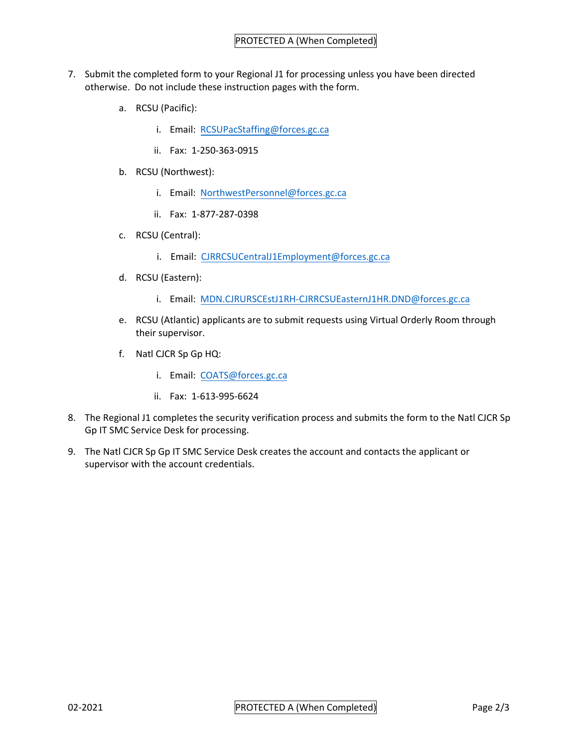- 7. Submit the completed form to your Regional J1 for processing unless you have been directed otherwise. Do not include these instruction pages with the form.
	- a. RCSU (Pacific):
		- i. Email: [RCSUPacStaffing@forces.gc.ca](mailto:RCSUPacStaffing@forces.gc.ca)
		- ii. Fax: 1-250-363-0915
	- b. RCSU (Northwest):
		- i. Email: [NorthwestPersonnel@forces.gc.ca](mailto:NorthwestPersonnel@forces.gc.ca)
		- ii. Fax: 1-877-287-0398
	- c. RCSU (Central):
		- i. Email: [CJRRCSUCentralJ1Employment@forces.gc.ca](mailto:CJRRCSUCentralJ1Employment@forces.gc.ca)
	- d. RCSU (Eastern):
		- i. Email: [MDN.CJRURSCEstJ1RH-CJRRCSUEasternJ1HR.DND@forces.gc.ca](mailto:MDN.CJRURSCEstJ1RH-CJRRCSUEasternJ1HR.DND@forces.gc.ca)
	- e. RCSU (Atlantic) applicants are to submit requests using Virtual Orderly Room through their supervisor.
	- f. Natl CJCR Sp Gp HQ:
		- i. Email: [COATS@forces.gc.ca](mailto:COATS@forces.gc.ca)
		- ii. Fax: 1-613-995-6624
- 8. The Regional J1 completes the security verification process and submits the form to the Natl CJCR Sp Gp IT SMC Service Desk for processing.
- 9. The Natl CJCR Sp Gp IT SMC Service Desk creates the account and contacts the applicant or supervisor with the account credentials.